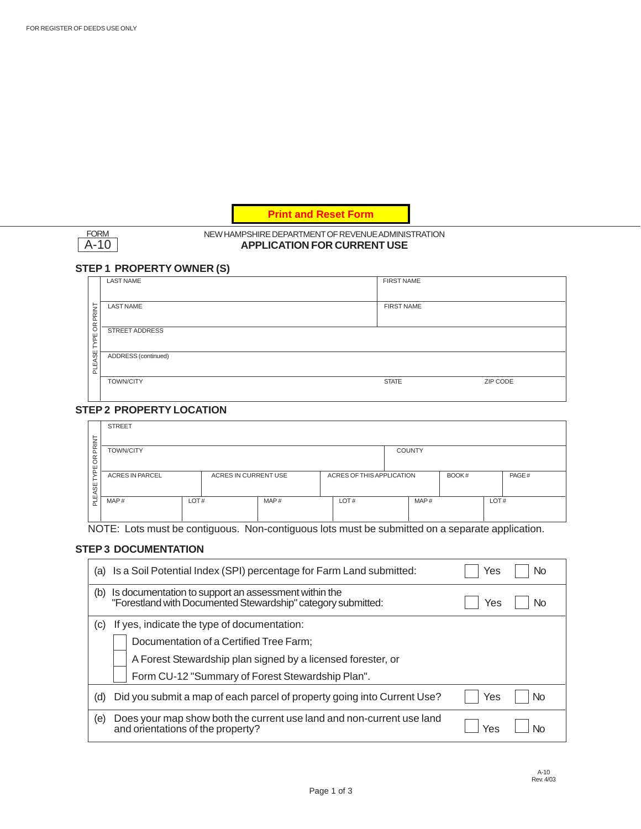## NEW HAMPSHIRE DEPARTMENT OF REVENUE ADMINISTRATION **APPLICATION FOR CURRENT USE**

# **STEP 1 PROPERTY OWNER (S)**

|                         | <b>LAST NAME</b>    | <b>FIRST NAME</b> |          |
|-------------------------|---------------------|-------------------|----------|
| PRINT                   | <b>LAST NAME</b>    | <b>FIRST NAME</b> |          |
| $\frac{\alpha}{\alpha}$ |                     |                   |          |
| 난<br>≻<br>⊢             | STREET ADDRESS      |                   |          |
| PLEASE                  | ADDRESS (continued) |                   |          |
|                         | <b>TOWN/CITY</b>    | <b>STATE</b>      | ZIP CODE |

## **STEP 2 PROPERTY LOCATION**

|        | <b>STREET</b>          |      |                      |      |                           |               |       |      |       |
|--------|------------------------|------|----------------------|------|---------------------------|---------------|-------|------|-------|
| ₹      |                        |      |                      |      |                           |               |       |      |       |
| 医      | <b>TOWN/CITY</b>       |      |                      |      |                           | <b>COUNTY</b> |       |      |       |
| g<br>ш |                        |      |                      |      |                           |               |       |      |       |
| 읏<br>⊢ | <b>ACRES IN PARCEL</b> |      | ACRES IN CURRENT USE |      | ACRES OF THIS APPLICATION |               | BOOK# |      | PAGE# |
| ASE    |                        |      |                      |      |                           |               |       |      |       |
| 늳      | MAP#                   | LOT# |                      | MAP# | LOT#                      | MAP#          |       | LOT# |       |
|        |                        |      |                      |      |                           |               |       |      |       |

NOTE: Lots must be contiguous. Non-contiguous lots must be submitted on a separate application.

## **STEP 3 DOCUMENTATION**

| Is a Soil Potential Index (SPI) percentage for Farm Land submitted:<br>(a)                                                  | No<br>Yes  |
|-----------------------------------------------------------------------------------------------------------------------------|------------|
| Is documentation to support an assessment within the<br>(b)<br>"Forestland with Documented Stewardship" category submitted: | Yes<br>Νo  |
| If yes, indicate the type of documentation:<br>(C)                                                                          |            |
| Documentation of a Certified Tree Farm;                                                                                     |            |
| A Forest Stewardship plan signed by a licensed forester, or                                                                 |            |
| Form CU-12 "Summary of Forest Stewardship Plan".                                                                            |            |
| Did you submit a map of each parcel of property going into Current Use?<br>(d)                                              | Yes<br>No. |
| (e)<br>Does your map show both the current use land and non-current use land<br>and orientations of the property?           | Yes<br>Nr  |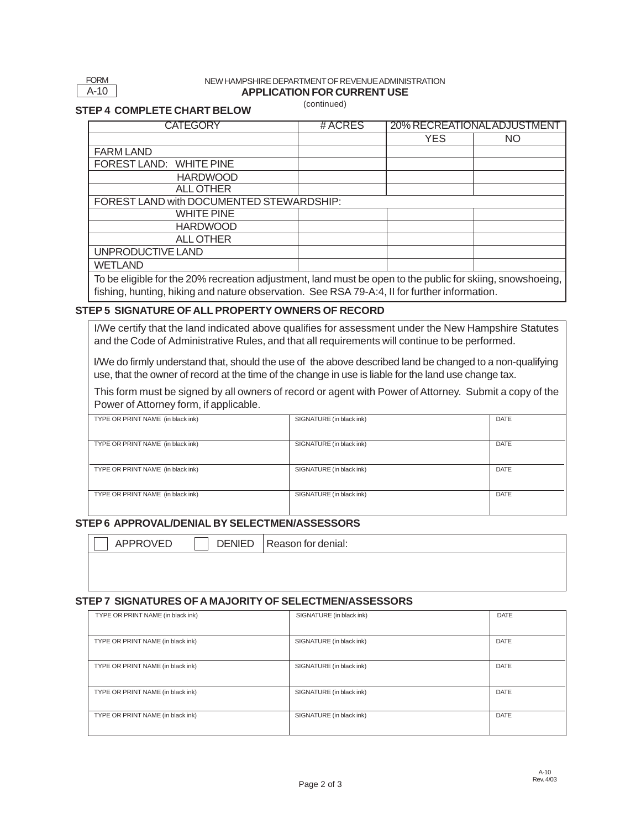FORM A-10

**STEP 4 COMPLETE CHART BELOW**

### NEW HAMPSHIRE DEPARTMENT OF REVENUE ADMINISTRATION **APPLICATION FOR CURRENT USE**

(continued)

| <b>CATEGORY</b>                                                                                           | #ACRES |            | <b>20% RECREATIONAL ADJUSTMENT</b> |
|-----------------------------------------------------------------------------------------------------------|--------|------------|------------------------------------|
|                                                                                                           |        | <b>YES</b> | NO.                                |
| <b>FARM LAND</b>                                                                                          |        |            |                                    |
| FOREST LAND: WHITE PINE                                                                                   |        |            |                                    |
| <b>HARDWOOD</b>                                                                                           |        |            |                                    |
| <b>ALL OTHER</b>                                                                                          |        |            |                                    |
| FOREST LAND with DOCUMENTED STEWARDSHIP:                                                                  |        |            |                                    |
| <b>WHITE PINE</b>                                                                                         |        |            |                                    |
| <b>HARDWOOD</b>                                                                                           |        |            |                                    |
| <b>ALL OTHER</b>                                                                                          |        |            |                                    |
| UNPRODUCTIVE LAND                                                                                         |        |            |                                    |
| <b>WETLAND</b>                                                                                            |        |            |                                    |
| To be eligible for the 20% recreation adjustment. Jand must be open to the public for skiing, snowshoeing |        |            |                                    |

% recreation adjustment, land must be open to the public for skiing, snowshoeing, fishing, hunting, hiking and nature observation. See RSA 79-A:4, II for further information.

## **STEP 5 SIGNATURE OF ALL PROPERTY OWNERS OF RECORD**

I/We certify that the land indicated above qualifies for assessment under the New Hampshire Statutes and the Code of Administrative Rules, and that all requirements will continue to be performed.

I/We do firmly understand that, should the use of the above described land be changed to a non-qualifying use, that the owner of record at the time of the change in use is liable for the land use change tax.

This form must be signed by all owners of record or agent with Power of Attorney. Submit a copy of the Power of Attorney form, if applicable.

| TYPE OR PRINT NAME (in black ink) | SIGNATURE (in black ink) | <b>DATE</b> |
|-----------------------------------|--------------------------|-------------|
| TYPE OR PRINT NAME (in black ink) | SIGNATURE (in black ink) | <b>DATE</b> |
| TYPE OR PRINT NAME (in black ink) | SIGNATURE (in black ink) | <b>DATE</b> |
| TYPE OR PRINT NAME (in black ink) | SIGNATURE (in black ink) | <b>DATE</b> |

# **STEP 6 APPROVAL/DENIAL BY SELECTMEN/ASSESSORS**

| APPROVED | <b>DENIED</b> | Reason for denial: |
|----------|---------------|--------------------|
|          |               |                    |
|          |               |                    |

# **STEP 7 SIGNATURES OF A MAJORITY OF SELECTMEN/ASSESSORS**

| TYPE OR PRINT NAME (in black ink) | SIGNATURE (in black ink) | <b>DATE</b> |
|-----------------------------------|--------------------------|-------------|
| TYPE OR PRINT NAME (in black ink) | SIGNATURE (in black ink) | <b>DATE</b> |
| TYPE OR PRINT NAME (in black ink) | SIGNATURE (in black ink) | <b>DATE</b> |
| TYPE OR PRINT NAME (in black ink) | SIGNATURE (in black ink) | <b>DATE</b> |
| TYPE OR PRINT NAME (in black ink) | SIGNATURE (in black ink) | <b>DATE</b> |